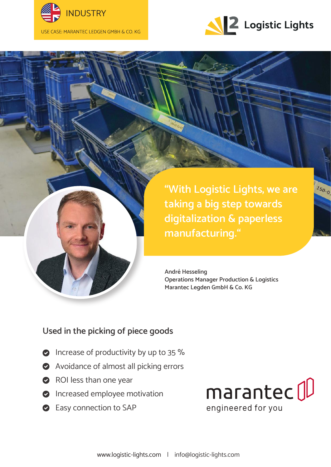



150-0

**"With Logistic Lights, we are taking a big step towards digitalization & paperless manufacturing."**

**André Hesseling Operations Manager Production & Logistics Marantec Legden GmbH & Co. KG**

## **Used in the picking of piece goods**

- **O** Increase of productivity by up to 35 %
- Avoidance of almost all picking errors
- ROI less than one year
- **O** Increased employee motivation
- **Easy connection to SAP**